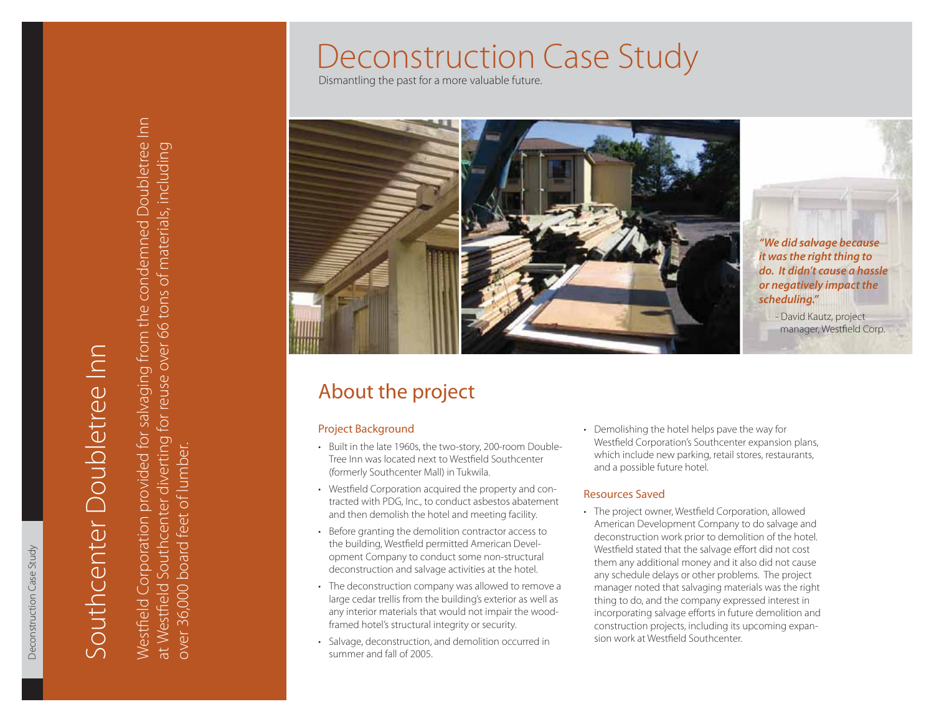Dismantling the past for a more valuable future.



*"We did salvage because it was the right thing to do. It didn't cause a hassle or negatively impact the scheduling."*

- David Kautz, project manager, Westfield Corp.

# About the project

- •
- •
- •
- •
- •

Demolishing the hotel helps pave the way for •Westfield Corporation's Southcenter expansion plans, which include new parking, retail stores, restaurants, and a possible future hotel.

### Resources Saved

• The project owner, Westfield Corporation, allowed American Development Company to do salvage and deconstruction work prior to demolition of the hotel. Westfield stated that the salvage effort did not cost them any additional money and it also did not cause any schedule delays or other problems. The project manager noted that salvaging materials was the right thing to do, and the company expressed interest in incorporating salvage efforts in future demolition and construction projects, including its upcoming expansion work at Westfield Southcenter.

at Westfield Southcenter diverting for reuse over 66 tons of materials, including

over 36,000 board feet of lumber.

Deconstruction Case Study

Deconstruction Case Study